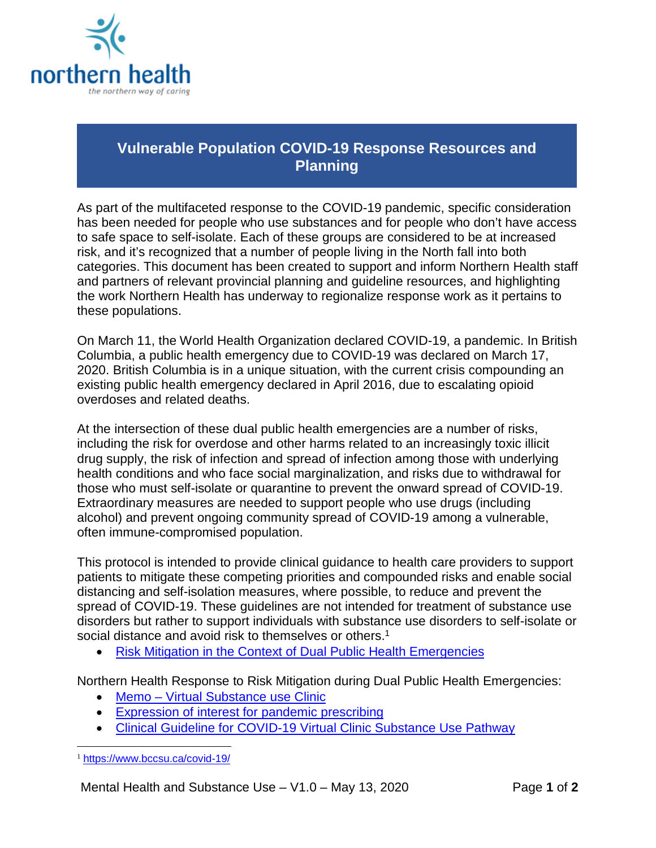

## **Vulnerable Population COVID-19 Response Resources and Planning**

As part of the multifaceted response to the COVID-19 pandemic, specific consideration has been needed for people who use substances and for people who don't have access to safe space to self-isolate. Each of these groups are considered to be at increased risk, and it's recognized that a number of people living in the North fall into both categories. This document has been created to support and inform Northern Health staff and partners of relevant provincial planning and guideline resources, and highlighting the work Northern Health has underway to regionalize response work as it pertains to these populations.

On March 11, the World Health Organization declared COVID-19, a pandemic. In British Columbia, a public health emergency due to COVID-19 was declared on March 17, 2020. British Columbia is in a unique situation, with the current crisis compounding an existing public health emergency declared in April 2016, due to escalating opioid overdoses and related deaths.

At the intersection of these dual public health emergencies are a number of risks, including the risk for overdose and other harms related to an increasingly toxic illicit drug supply, the risk of infection and spread of infection among those with underlying health conditions and who face social marginalization, and risks due to withdrawal for those who must self-isolate or quarantine to prevent the onward spread of COVID-19. Extraordinary measures are needed to support people who use drugs (including alcohol) and prevent ongoing community spread of COVID-19 among a vulnerable, often immune-compromised population.

This protocol is intended to provide clinical guidance to health care providers to support patients to mitigate these competing priorities and compounded risks and enable social distancing and self-isolation measures, where possible, to reduce and prevent the spread of COVID-19. These guidelines are not intended for treatment of substance use disorders but rather to support individuals with substance use disorders to self-isolate or social distance and avoid risk to themselves or others.<sup>1</sup>

• [Risk Mitigation in the Context of Dual Public Health Emergencies](https://www.bccsu.ca/covid-19/)

Northern Health Response to Risk Mitigation during Dual Public Health Emergencies:

- Memo [Virtual Substance use Clinic](https://physicians.northernhealth.ca/sites/physicians/files/physician-resources/covid-19/virtual-substance-use-clinic-memo-may-11.pdf)
- [Expression of interest for pandemic prescribing](https://physicians.northernhealth.ca/sites/physicians/files/physician-resources/covid-19/expression-of-interest-pandemic-prescribing.pdf)
- Clinical Guideline for COVID-19 [Virtual Clinic Substance Use Pathway](https://physicians.northernhealth.ca/sites/physicians/files/physician-resources/covid-19/clinical-response-guideline-COVID-19-virtual-clinic-substance-use-pathway.pdf)

 <sup>1</sup> <https://www.bccsu.ca/covid-19/>